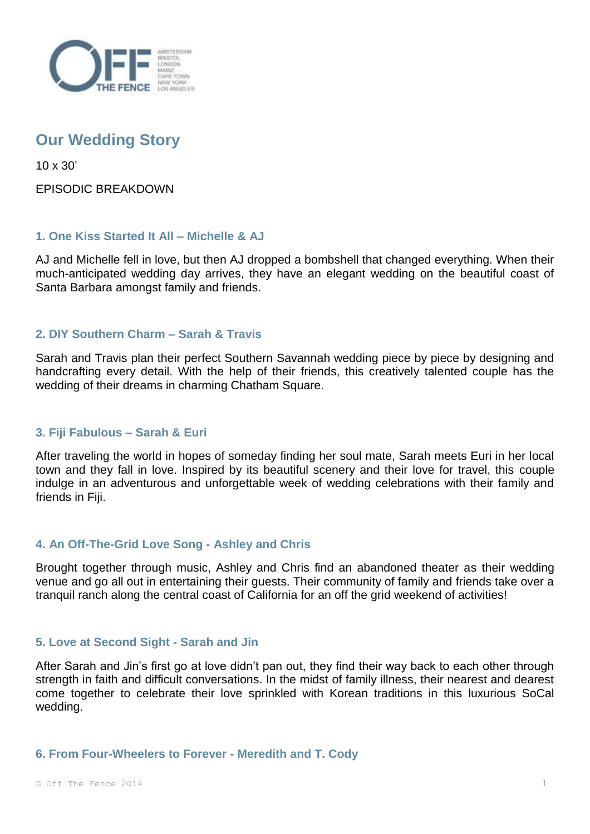

# **Our Wedding Story**

10 x 30'

EPISODIC BREAKDOWN

# **1. One Kiss Started It All – Michelle & AJ**

AJ and Michelle fell in love, but then AJ dropped a bombshell that changed everything. When their much-anticipated wedding day arrives, they have an elegant wedding on the beautiful coast of Santa Barbara amongst family and friends.

# **2. DIY Southern Charm – Sarah & Travis**

Sarah and Travis plan their perfect Southern Savannah wedding piece by piece by designing and handcrafting every detail. With the help of their friends, this creatively talented couple has the wedding of their dreams in charming Chatham Square.

# **3. Fiji Fabulous – Sarah & Euri**

After traveling the world in hopes of someday finding her soul mate, Sarah meets Euri in her local town and they fall in love. Inspired by its beautiful scenery and their love for travel, this couple indulge in an adventurous and unforgettable week of wedding celebrations with their family and friends in Fiii.

# **4. An Off-The-Grid Love Song - Ashley and Chris**

Brought together through music, Ashley and Chris find an abandoned theater as their wedding venue and go all out in entertaining their guests. Their community of family and friends take over a tranquil ranch along the central coast of California for an off the grid weekend of activities!

# **5. Love at Second Sight - Sarah and Jin**

After Sarah and Jin's first go at love didn't pan out, they find their way back to each other through strength in faith and difficult conversations. In the midst of family illness, their nearest and dearest come together to celebrate their love sprinkled with Korean traditions in this luxurious SoCal wedding.

#### **6. From Four-Wheelers to Forever - Meredith and T. Cody**